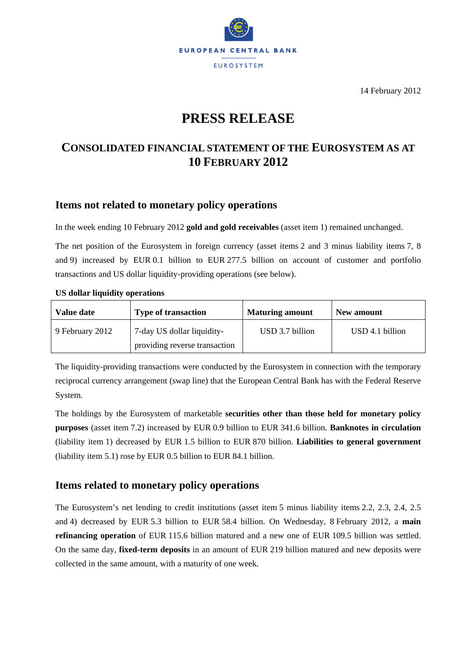

14 February 2012

# **PRESS RELEASE**

## **CONSOLIDATED FINANCIAL STATEMENT OF THE EUROSYSTEM AS AT 10 FEBRUARY 2012**

## **Items not related to monetary policy operations**

In the week ending 10 February 2012 **gold and gold receivables** (asset item 1) remained unchanged.

The net position of the Eurosystem in foreign currency (asset items 2 and 3 minus liability items 7, 8 and 9) increased by EUR 0.1 billion to EUR 277.5 billion on account of customer and portfolio transactions and US dollar liquidity-providing operations (see below).

#### **US dollar liquidity operations**

| Value date      | <b>Type of transaction</b>    | <b>Maturing amount</b> | New amount      |
|-----------------|-------------------------------|------------------------|-----------------|
| 9 February 2012 | 7-day US dollar liquidity-    | USD 3.7 billion        | USD 4.1 billion |
|                 | providing reverse transaction |                        |                 |

The liquidity-providing transactions were conducted by the Eurosystem in connection with the temporary reciprocal currency arrangement (swap line) that the European Central Bank has with the Federal Reserve System.

The holdings by the Eurosystem of marketable **securities other than those held for monetary policy purposes** (asset item 7.2) increased by EUR 0.9 billion to EUR 341.6 billion. **Banknotes in circulation** (liability item 1) decreased by EUR 1.5 billion to EUR 870 billion. **Liabilities to general government** (liability item 5.1) rose by EUR 0.5 billion to EUR 84.1 billion.

### **Items related to monetary policy operations**

The Eurosystem's net lending to credit institutions (asset item 5 minus liability items 2.2, 2.3, 2.4, 2.5 and 4) decreased by EUR 5.3 billion to EUR 58.4 billion. On Wednesday, 8 February 2012, a **main refinancing operation** of EUR 115.6 billion matured and a new one of EUR 109.5 billion was settled. On the same day, **fixed-term deposits** in an amount of EUR 219 billion matured and new deposits were collected in the same amount, with a maturity of one week.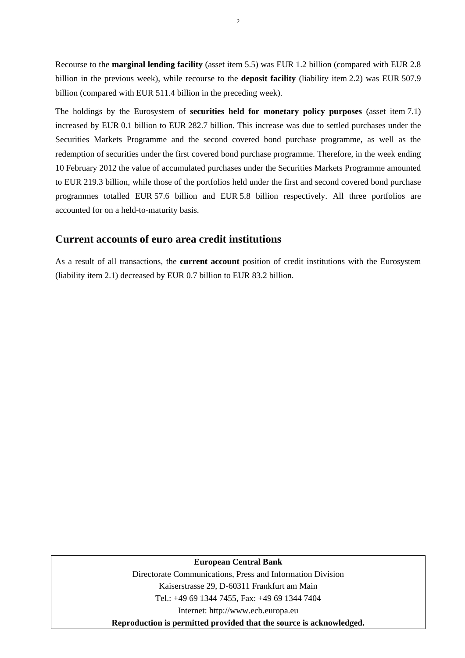Recourse to the **marginal lending facility** (asset item 5.5) was EUR 1.2 billion (compared with EUR 2.8 billion in the previous week), while recourse to the **deposit facility** (liability item 2.2) was EUR 507.9 billion (compared with EUR 511.4 billion in the preceding week).

The holdings by the Eurosystem of **securities held for monetary policy purposes** (asset item 7.1) increased by EUR 0.1 billion to EUR 282.7 billion. This increase was due to settled purchases under the Securities Markets Programme and the second covered bond purchase programme, as well as the redemption of securities under the first covered bond purchase programme. Therefore, in the week ending 10 February 2012 the value of accumulated purchases under the Securities Markets Programme amounted to EUR 219.3 billion, while those of the portfolios held under the first and second covered bond purchase programmes totalled EUR 57.6 billion and EUR 5.8 billion respectively. All three portfolios are accounted for on a held-to-maturity basis.

#### **Current accounts of euro area credit institutions**

As a result of all transactions, the **current account** position of credit institutions with the Eurosystem (liability item 2.1) decreased by EUR 0.7 billion to EUR 83.2 billion.

#### **European Central Bank**

Directorate Communications, Press and Information Division Kaiserstrasse 29, D-60311 Frankfurt am Main Tel.: +49 69 1344 7455, Fax: +49 69 1344 7404 Internet: http://www.ecb.europa.eu **Reproduction is permitted provided that the source is acknowledged.** 

2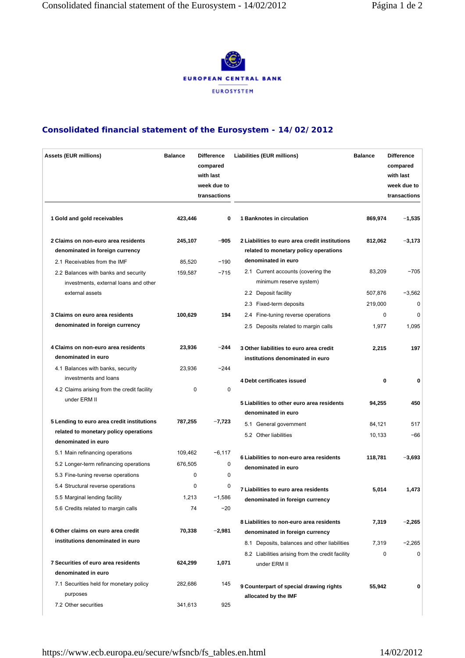

#### **Consolidated financial statement of the Eurosystem - 14/02/2012**

| <b>Assets (EUR millions)</b>                                                                                                     | <b>Balance</b>    | <b>Difference</b><br>compared<br>with last<br>week due to<br>transactions | <b>Liabilities (EUR millions)</b>                                                                              | <b>Balance</b>    | <b>Difference</b><br>compared<br>with last<br>week due to<br>transactions |
|----------------------------------------------------------------------------------------------------------------------------------|-------------------|---------------------------------------------------------------------------|----------------------------------------------------------------------------------------------------------------|-------------------|---------------------------------------------------------------------------|
| 1 Gold and gold receivables                                                                                                      | 423,446           | 0                                                                         | 1 Banknotes in circulation                                                                                     | 869,974           | $-1,535$                                                                  |
| 2 Claims on non-euro area residents<br>denominated in foreign currency                                                           | 245,107           | $-905$                                                                    | 2 Liabilities to euro area credit institutions<br>related to monetary policy operations<br>denominated in euro | 812,062           | $-3,173$                                                                  |
| 2.1 Receivables from the IMF<br>2.2 Balances with banks and security<br>investments, external loans and other<br>external assets | 85,520<br>159,587 | $-190$<br>$-715$                                                          | 2.1 Current accounts (covering the<br>minimum reserve system)<br>2.2 Deposit facility                          | 83,209<br>507,876 | $-705$<br>$-3,562$                                                        |
|                                                                                                                                  |                   |                                                                           | 2.3 Fixed-term deposits                                                                                        | 219,000           | 0                                                                         |
| 3 Claims on euro area residents                                                                                                  | 100,629           | 194                                                                       | 2.4 Fine-tuning reverse operations                                                                             | 0                 | $\Omega$                                                                  |
| denominated in foreign currency                                                                                                  |                   |                                                                           | 2.5 Deposits related to margin calls                                                                           | 1.977             | 1,095                                                                     |
| 4 Claims on non-euro area residents<br>denominated in euro<br>4.1 Balances with banks, security                                  | 23,936<br>23,936  | $-244$<br>$-244$                                                          | 3 Other liabilities to euro area credit<br>institutions denominated in euro                                    | 2,215             | 197                                                                       |
| investments and loans                                                                                                            |                   |                                                                           | 4 Debt certificates issued                                                                                     | $\bf{0}$          | 0                                                                         |
| 4.2 Claims arising from the credit facility                                                                                      | 0                 | 0                                                                         |                                                                                                                |                   |                                                                           |
| under ERM II                                                                                                                     |                   |                                                                           | 5 Liabilities to other euro area residents<br>denominated in euro                                              | 94,255            | 450                                                                       |
| 5 Lending to euro area credit institutions                                                                                       | 787,255           | $-7,723$                                                                  | 5.1 General government                                                                                         | 84,121            | 517                                                                       |
| related to monetary policy operations<br>denominated in euro                                                                     |                   |                                                                           | 5.2 Other liabilities                                                                                          | 10,133            | $-66$                                                                     |
| 5.1 Main refinancing operations                                                                                                  | 109,462           | $-6,117$                                                                  | 6 Liabilities to non-euro area residents                                                                       | 118,781           | $-3,693$                                                                  |
| 5.2 Longer-term refinancing operations                                                                                           | 676,505           | 0                                                                         | denominated in euro                                                                                            |                   |                                                                           |
| 5.3 Fine-tuning reverse operations                                                                                               | 0                 | 0                                                                         |                                                                                                                |                   |                                                                           |
| 5.4 Structural reverse operations                                                                                                | 0                 | 0                                                                         | 7 Liabilities to euro area residents                                                                           | 5,014             | 1,473                                                                     |
| 5.5 Marginal lending facility                                                                                                    | 1,213             | $-1,586$                                                                  | denominated in foreign currency                                                                                |                   |                                                                           |
| 5.6 Credits related to margin calls                                                                                              | 74                | $-20$                                                                     |                                                                                                                |                   |                                                                           |
| 6 Other claims on euro area credit                                                                                               | 70,338            | $-2,981$                                                                  | 8 Liabilities to non-euro area residents<br>denominated in foreign currency                                    | 7,319             | $-2,265$                                                                  |
| institutions denominated in euro                                                                                                 |                   |                                                                           | 8.1 Deposits, balances and other liabilities                                                                   | 7,319             | $-2,265$                                                                  |
| 7 Securities of euro area residents                                                                                              | 624,299           | 1,071                                                                     | 8.2 Liabilities arising from the credit facility<br>under ERM II                                               | 0                 | 0                                                                         |
| denominated in euro                                                                                                              |                   |                                                                           |                                                                                                                |                   |                                                                           |
| 7.1 Securities held for monetary policy<br>purposes                                                                              | 282,686           | 145                                                                       | 9 Counterpart of special drawing rights<br>allocated by the IMF                                                | 55,942            | 0                                                                         |
| 7.2 Other securities                                                                                                             | 341,613           | 925                                                                       |                                                                                                                |                   |                                                                           |